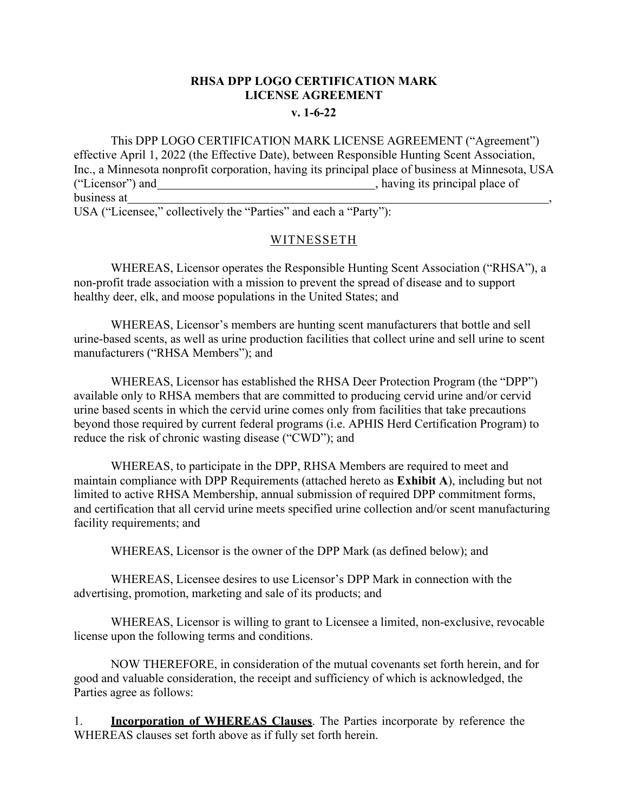# **RHSA DPP LOGO CERTIFICATION MARK LICENSE AGREEMENT**

### **v. 1-6-22**

This DPP LOGO CERTIFICATION MARK LICENSE AGREEMENT ("Agreement") effective April 1, 2022 (the Effective Date), between Responsible Hunting Scent Association, Inc., a Minnesota nonprofit corporation, having its principal place of business at Minnesota, USA ("Licensor") and , having its principal place of business at ,

USA ("Licensee," collectively the "Parties" and each a "Party"):

### WITNESSETH

WHEREAS, Licensor operates the Responsible Hunting Scent Association ("RHSA"), a non-profit trade association with a mission to prevent the spread of disease and to support healthy deer, elk, and moose populations in the United States; and

WHEREAS, Licensor's members are hunting scent manufacturers that bottle and sell urine-based scents, as well as urine production facilities that collect urine and sell urine to scent manufacturers ("RHSA Members"); and

WHEREAS, Licensor has established the RHSA Deer Protection Program (the "DPP") available only to RHSA members that are committed to producing cervid urine and/or cervid urine based scents in which the cervid urine comes only from facilities that take precautions beyond those required by current federal programs (i.e. APHIS Herd Certification Program) to reduce the risk of chronic wasting disease ("CWD"); and

WHEREAS, to participate in the DPP, RHSA Members are required to meet and maintain compliance with DPP Requirements (attached hereto as **Exhibit A**), including but not limited to active RHSA Membership, annual submission of required DPP commitment forms, and certification that all cervid urine meets specified urine collection and/or scent manufacturing facility requirements; and

WHEREAS, Licensor is the owner of the DPP Mark (as defined below); and

WHEREAS, Licensee desires to use Licensor's DPP Mark in connection with the advertising, promotion, marketing and sale of its products; and

WHEREAS, Licensor is willing to grant to Licensee a limited, non-exclusive, revocable license upon the following terms and conditions.

NOW THEREFORE, in consideration of the mutual covenants set forth herein, and for good and valuable consideration, the receipt and sufficiency of which is acknowledged, the Parties agree as follows:

1. **Incorporation of WHEREAS Clauses**. The Parties incorporate by reference the WHEREAS clauses set forth above as if fully set forth herein.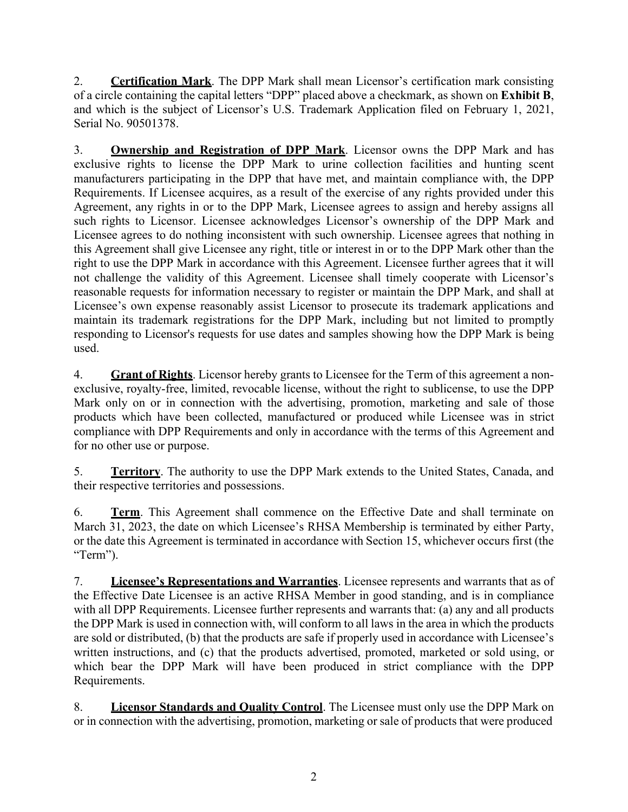2. **Certification Mark**. The DPP Mark shall mean Licensor's certification mark consisting of a circle containing the capital letters "DPP" placed above a checkmark, as shown on **Exhibit B**, and which is the subject of Licensor's U.S. Trademark Application filed on February 1, 2021, Serial No. 90501378.

3. **Ownership and Registration of DPP Mark**. Licensor owns the DPP Mark and has exclusive rights to license the DPP Mark to urine collection facilities and hunting scent manufacturers participating in the DPP that have met, and maintain compliance with, the DPP Requirements. If Licensee acquires, as a result of the exercise of any rights provided under this Agreement, any rights in or to the DPP Mark, Licensee agrees to assign and hereby assigns all such rights to Licensor. Licensee acknowledges Licensor's ownership of the DPP Mark and Licensee agrees to do nothing inconsistent with such ownership. Licensee agrees that nothing in this Agreement shall give Licensee any right, title or interest in or to the DPP Mark other than the right to use the DPP Mark in accordance with this Agreement. Licensee further agrees that it will not challenge the validity of this Agreement. Licensee shall timely cooperate with Licensor's reasonable requests for information necessary to register or maintain the DPP Mark, and shall at Licensee's own expense reasonably assist Licensor to prosecute its trademark applications and maintain its trademark registrations for the DPP Mark, including but not limited to promptly responding to Licensor's requests for use dates and samples showing how the DPP Mark is being used.

4. **Grant of Rights**. Licensor hereby grants to Licensee for the Term of this agreement a nonexclusive, royalty-free, limited, revocable license, without the right to sublicense, to use the DPP Mark only on or in connection with the advertising, promotion, marketing and sale of those products which have been collected, manufactured or produced while Licensee was in strict compliance with DPP Requirements and only in accordance with the terms of this Agreement and for no other use or purpose.

5. **Territory**. The authority to use the DPP Mark extends to the United States, Canada, and their respective territories and possessions.

6. **Term**. This Agreement shall commence on the Effective Date and shall terminate on March 31, 2023, the date on which Licensee's RHSA Membership is terminated by either Party, or the date this Agreement is terminated in accordance with Section 15, whichever occurs first (the "Term").

7. **Licensee's Representations and Warranties**. Licensee represents and warrants that as of the Effective Date Licensee is an active RHSA Member in good standing, and is in compliance with all DPP Requirements. Licensee further represents and warrants that: (a) any and all products the DPP Mark is used in connection with, will conform to all laws in the area in which the products are sold or distributed, (b) that the products are safe if properly used in accordance with Licensee's written instructions, and (c) that the products advertised, promoted, marketed or sold using, or which bear the DPP Mark will have been produced in strict compliance with the DPP Requirements.

8. **Licensor Standards and Quality Control**. The Licensee must only use the DPP Mark on or in connection with the advertising, promotion, marketing or sale of products that were produced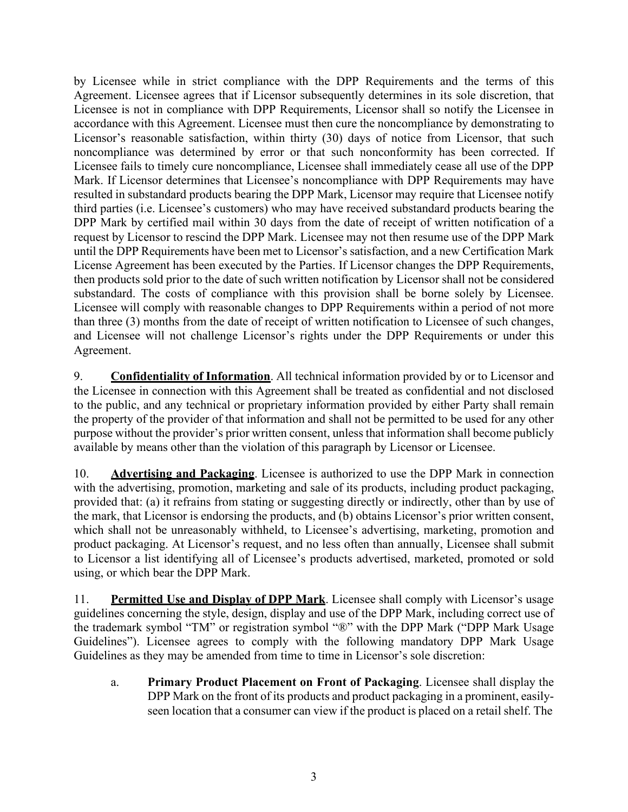by Licensee while in strict compliance with the DPP Requirements and the terms of this Agreement. Licensee agrees that if Licensor subsequently determines in its sole discretion, that Licensee is not in compliance with DPP Requirements, Licensor shall so notify the Licensee in accordance with this Agreement. Licensee must then cure the noncompliance by demonstrating to Licensor's reasonable satisfaction, within thirty (30) days of notice from Licensor, that such noncompliance was determined by error or that such nonconformity has been corrected. If Licensee fails to timely cure noncompliance, Licensee shall immediately cease all use of the DPP Mark. If Licensor determines that Licensee's noncompliance with DPP Requirements may have resulted in substandard products bearing the DPP Mark, Licensor may require that Licensee notify third parties (i.e. Licensee's customers) who may have received substandard products bearing the DPP Mark by certified mail within 30 days from the date of receipt of written notification of a request by Licensor to rescind the DPP Mark. Licensee may not then resume use of the DPP Mark until the DPP Requirements have been met to Licensor's satisfaction, and a new Certification Mark License Agreement has been executed by the Parties. If Licensor changes the DPP Requirements, then products sold prior to the date of such written notification by Licensor shall not be considered substandard. The costs of compliance with this provision shall be borne solely by Licensee. Licensee will comply with reasonable changes to DPP Requirements within a period of not more than three (3) months from the date of receipt of written notification to Licensee of such changes, and Licensee will not challenge Licensor's rights under the DPP Requirements or under this Agreement.

9. **Confidentiality of Information**. All technical information provided by or to Licensor and the Licensee in connection with this Agreement shall be treated as confidential and not disclosed to the public, and any technical or proprietary information provided by either Party shall remain the property of the provider of that information and shall not be permitted to be used for any other purpose without the provider's prior written consent, unless that information shall become publicly available by means other than the violation of this paragraph by Licensor or Licensee.

10. **Advertising and Packaging**. Licensee is authorized to use the DPP Mark in connection with the advertising, promotion, marketing and sale of its products, including product packaging, provided that: (a) it refrains from stating or suggesting directly or indirectly, other than by use of the mark, that Licensor is endorsing the products, and (b) obtains Licensor's prior written consent, which shall not be unreasonably withheld, to Licensee's advertising, marketing, promotion and product packaging. At Licensor's request, and no less often than annually, Licensee shall submit to Licensor a list identifying all of Licensee's products advertised, marketed, promoted or sold using, or which bear the DPP Mark.

11. **Permitted Use and Display of DPP Mark**. Licensee shall comply with Licensor's usage guidelines concerning the style, design, display and use of the DPP Mark, including correct use of the trademark symbol "TM" or registration symbol "®" with the DPP Mark ("DPP Mark Usage Guidelines"). Licensee agrees to comply with the following mandatory DPP Mark Usage Guidelines as they may be amended from time to time in Licensor's sole discretion:

a. **Primary Product Placement on Front of Packaging**. Licensee shall display the DPP Mark on the front of its products and product packaging in a prominent, easilyseen location that a consumer can view if the product is placed on a retail shelf. The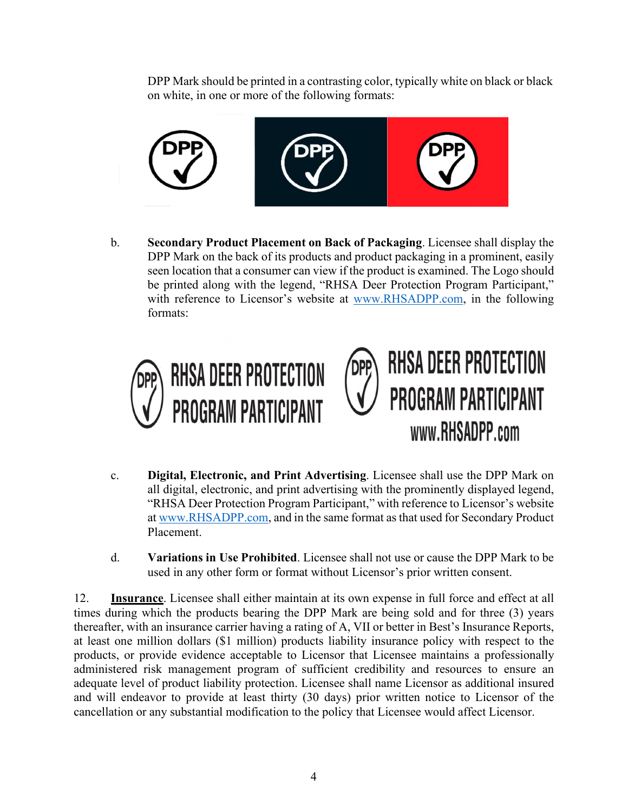DPP Mark should be printed in a contrasting color, typically white on black or black on white, in one or more of the following formats:



b. **Secondary Product Placement on Back of Packaging**. Licensee shall display the DPP Mark on the back of its products and product packaging in a prominent, easily seen location that a consumer can view if the product is examined. The Logo should be printed along with the legend, "RHSA Deer Protection Program Participant," with reference to Licensor's website at [www.RHSADPP.com,](http://www.rhsadpp.com/) in the following formats:





- c. **Digital, Electronic, and Print Advertising**. Licensee shall use the DPP Mark on all digital, electronic, and print advertising with the prominently displayed legend, "RHSA Deer Protection Program Participant," with reference to Licensor's website at [www.RHSADPP.com,](http://www.rhsadpp.com/) and in the same format asthat used for Secondary Product Placement.
- d. **Variations in Use Prohibited**. Licensee shall not use or cause the DPP Mark to be used in any other form or format without Licensor's prior written consent.

12. **Insurance**. Licensee shall either maintain at its own expense in full force and effect at all times during which the products bearing the DPP Mark are being sold and for three (3) years thereafter, with an insurance carrier having a rating of A, VII or better in Best's Insurance Reports, at least one million dollars (\$1 million) products liability insurance policy with respect to the products, or provide evidence acceptable to Licensor that Licensee maintains a professionally administered risk management program of sufficient credibility and resources to ensure an adequate level of product liability protection. Licensee shall name Licensor as additional insured and will endeavor to provide at least thirty (30 days) prior written notice to Licensor of the cancellation or any substantial modification to the policy that Licensee would affect Licensor.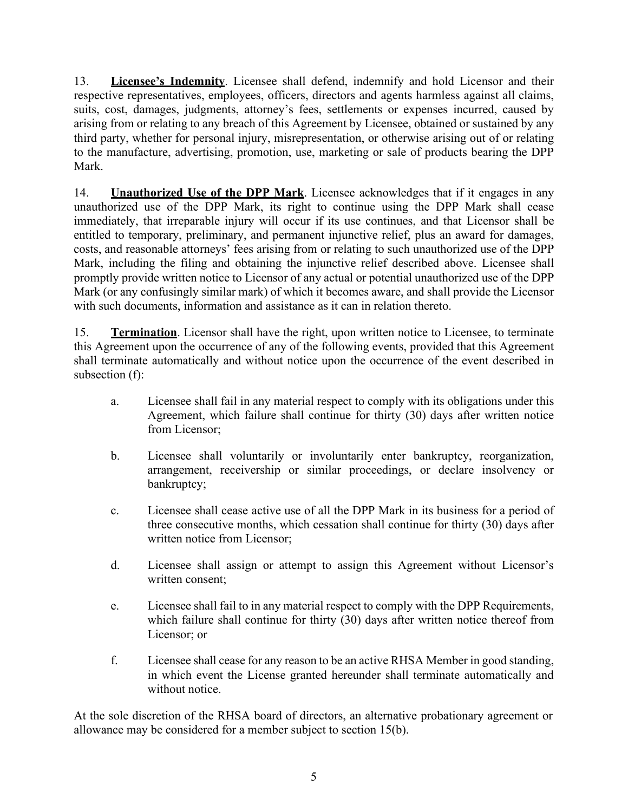13. **Licensee's Indemnity**. Licensee shall defend, indemnify and hold Licensor and their respective representatives, employees, officers, directors and agents harmless against all claims, suits, cost, damages, judgments, attorney's fees, settlements or expenses incurred, caused by arising from or relating to any breach of this Agreement by Licensee, obtained or sustained by any third party, whether for personal injury, misrepresentation, or otherwise arising out of or relating to the manufacture, advertising, promotion, use, marketing or sale of products bearing the DPP Mark.

14. **Unauthorized Use of the DPP Mark**. Licensee acknowledges that if it engages in any unauthorized use of the DPP Mark, its right to continue using the DPP Mark shall cease immediately, that irreparable injury will occur if its use continues, and that Licensor shall be entitled to temporary, preliminary, and permanent injunctive relief, plus an award for damages, costs, and reasonable attorneys' fees arising from or relating to such unauthorized use of the DPP Mark, including the filing and obtaining the injunctive relief described above. Licensee shall promptly provide written notice to Licensor of any actual or potential unauthorized use of the DPP Mark (or any confusingly similar mark) of which it becomes aware, and shall provide the Licensor with such documents, information and assistance as it can in relation thereto.

15. **Termination**. Licensor shall have the right, upon written notice to Licensee, to terminate this Agreement upon the occurrence of any of the following events, provided that this Agreement shall terminate automatically and without notice upon the occurrence of the event described in subsection (f):

- a. Licensee shall fail in any material respect to comply with its obligations under this Agreement, which failure shall continue for thirty (30) days after written notice from Licensor;
- b. Licensee shall voluntarily or involuntarily enter bankruptcy, reorganization, arrangement, receivership or similar proceedings, or declare insolvency or bankruptcy;
- c. Licensee shall cease active use of all the DPP Mark in its business for a period of three consecutive months, which cessation shall continue for thirty (30) days after written notice from Licensor;
- d. Licensee shall assign or attempt to assign this Agreement without Licensor's written consent;
- e. Licensee shall fail to in any material respect to comply with the DPP Requirements, which failure shall continue for thirty (30) days after written notice thereof from Licensor; or
- f. Licensee shall cease for any reason to be an active RHSA Member in good standing, in which event the License granted hereunder shall terminate automatically and without notice.

At the sole discretion of the RHSA board of directors, an alternative probationary agreement or allowance may be considered for a member subject to section 15(b).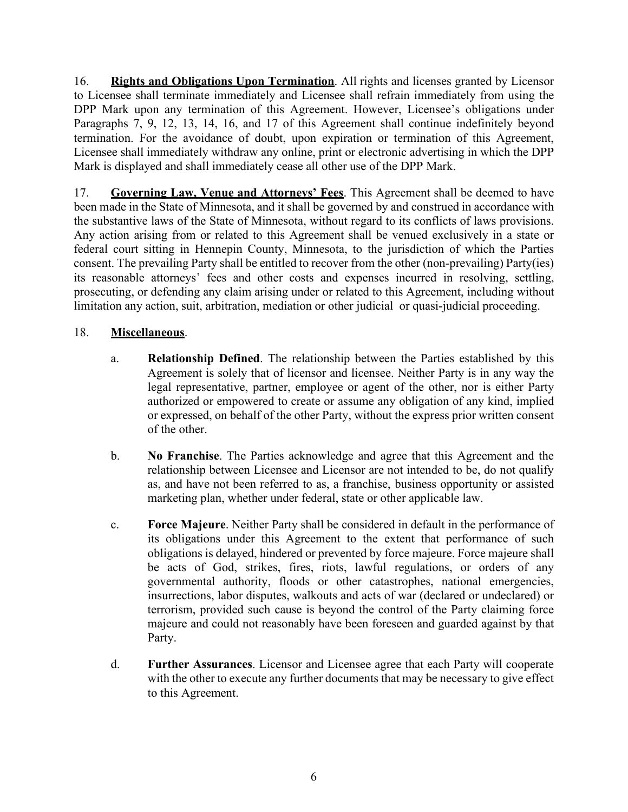16. **Rights and Obligations Upon Termination**. All rights and licenses granted by Licensor to Licensee shall terminate immediately and Licensee shall refrain immediately from using the DPP Mark upon any termination of this Agreement. However, Licensee's obligations under Paragraphs 7, 9, 12, 13, 14, 16, and 17 of this Agreement shall continue indefinitely beyond termination. For the avoidance of doubt, upon expiration or termination of this Agreement, Licensee shall immediately withdraw any online, print or electronic advertising in which the DPP Mark is displayed and shall immediately cease all other use of the DPP Mark.

17. **Governing Law, Venue and Attorneys' Fees**. This Agreement shall be deemed to have been made in the State of Minnesota, and it shall be governed by and construed in accordance with the substantive laws of the State of Minnesota, without regard to its conflicts of laws provisions. Any action arising from or related to this Agreement shall be venued exclusively in a state or federal court sitting in Hennepin County, Minnesota, to the jurisdiction of which the Parties consent. The prevailing Party shall be entitled to recover from the other (non-prevailing) Party(ies) its reasonable attorneys' fees and other costs and expenses incurred in resolving, settling, prosecuting, or defending any claim arising under or related to this Agreement, including without limitation any action, suit, arbitration, mediation or other judicial or quasi-judicial proceeding.

# 18. **Miscellaneous**.

- a. **Relationship Defined**. The relationship between the Parties established by this Agreement is solely that of licensor and licensee. Neither Party is in any way the legal representative, partner, employee or agent of the other, nor is either Party authorized or empowered to create or assume any obligation of any kind, implied or expressed, on behalf of the other Party, without the express prior written consent of the other.
- b. **No Franchise**. The Parties acknowledge and agree that this Agreement and the relationship between Licensee and Licensor are not intended to be, do not qualify as, and have not been referred to as, a franchise, business opportunity or assisted marketing plan, whether under federal, state or other applicable law.
- c. **Force Majeure**. Neither Party shall be considered in default in the performance of its obligations under this Agreement to the extent that performance of such obligations is delayed, hindered or prevented by force majeure. Force majeure shall be acts of God, strikes, fires, riots, lawful regulations, or orders of any governmental authority, floods or other catastrophes, national emergencies, insurrections, labor disputes, walkouts and acts of war (declared or undeclared) or terrorism, provided such cause is beyond the control of the Party claiming force majeure and could not reasonably have been foreseen and guarded against by that Party.
- d. **Further Assurances**. Licensor and Licensee agree that each Party will cooperate with the other to execute any further documents that may be necessary to give effect to this Agreement.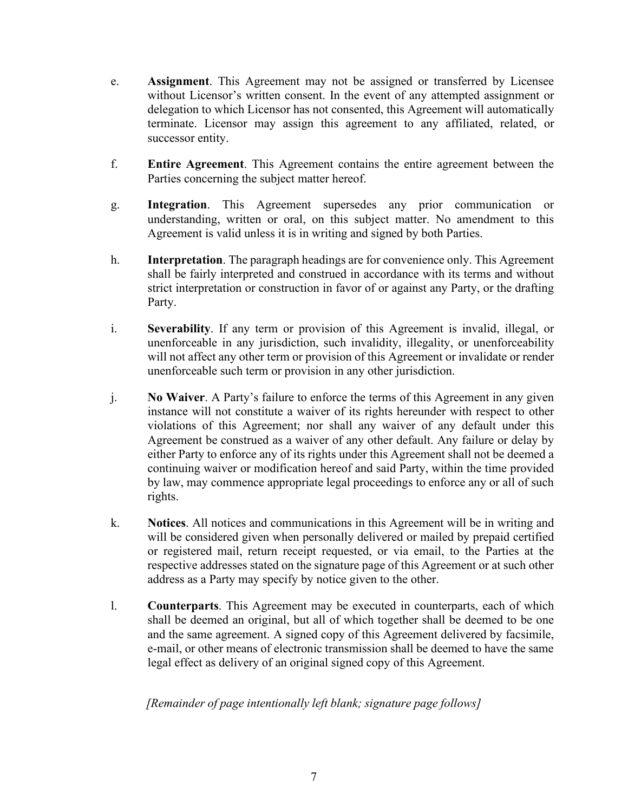- e. **Assignment**. This Agreement may not be assigned or transferred by Licensee without Licensor's written consent. In the event of any attempted assignment or delegation to which Licensor has not consented, this Agreement will automatically terminate. Licensor may assign this agreement to any affiliated, related, or successor entity.
- f. **Entire Agreement**. This Agreement contains the entire agreement between the Parties concerning the subject matter hereof.
- g. **Integration**. This Agreement supersedes any prior communication or understanding, written or oral, on this subject matter. No amendment to this Agreement is valid unless it is in writing and signed by both Parties.
- h. **Interpretation**. The paragraph headings are for convenience only. This Agreement shall be fairly interpreted and construed in accordance with its terms and without strict interpretation or construction in favor of or against any Party, or the drafting Party.
- i. **Severability**. If any term or provision of this Agreement is invalid, illegal, or unenforceable in any jurisdiction, such invalidity, illegality, or unenforceability will not affect any other term or provision of this Agreement or invalidate or render unenforceable such term or provision in any other jurisdiction.
- j. **No Waiver**. A Party's failure to enforce the terms of this Agreement in any given instance will not constitute a waiver of its rights hereunder with respect to other violations of this Agreement; nor shall any waiver of any default under this Agreement be construed as a waiver of any other default. Any failure or delay by either Party to enforce any of its rights under this Agreement shall not be deemed a continuing waiver or modification hereof and said Party, within the time provided by law, may commence appropriate legal proceedings to enforce any or all of such rights.
- k. **Notices**. All notices and communications in this Agreement will be in writing and will be considered given when personally delivered or mailed by prepaid certified or registered mail, return receipt requested, or via email, to the Parties at the respective addresses stated on the signature page of this Agreement or at such other address as a Party may specify by notice given to the other.
- l. **Counterparts**. This Agreement may be executed in counterparts, each of which shall be deemed an original, but all of which together shall be deemed to be one and the same agreement. A signed copy of this Agreement delivered by facsimile, e-mail, or other means of electronic transmission shall be deemed to have the same legal effect as delivery of an original signed copy of this Agreement.

# *[Remainder of page intentionally left blank; signature page follows]*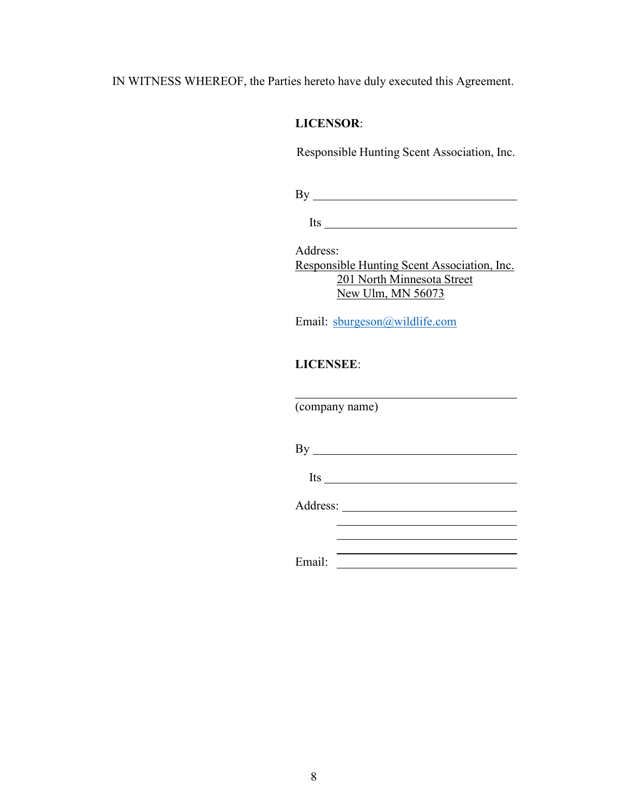IN WITNESS WHEREOF, the Parties hereto have duly executed this Agreement.

### **LICENSOR**:

Responsible Hunting Scent Association, Inc.

By

Its

Address: Responsible Hunting Scent Association, Inc. 201 North Minnesota Street New Ulm, MN 56073

Email: [sburgeson@wildlife.com](mailto:sburgeson@wildlife.com)

# **LICENSEE**:

(company name)

By Its

Address:

Email: University of the University of the University of the University of the University of the University of the University of the University of the University of the University of the University of the University of the

<u> 1990 - Johann Barbara, martin amerikan ba</u>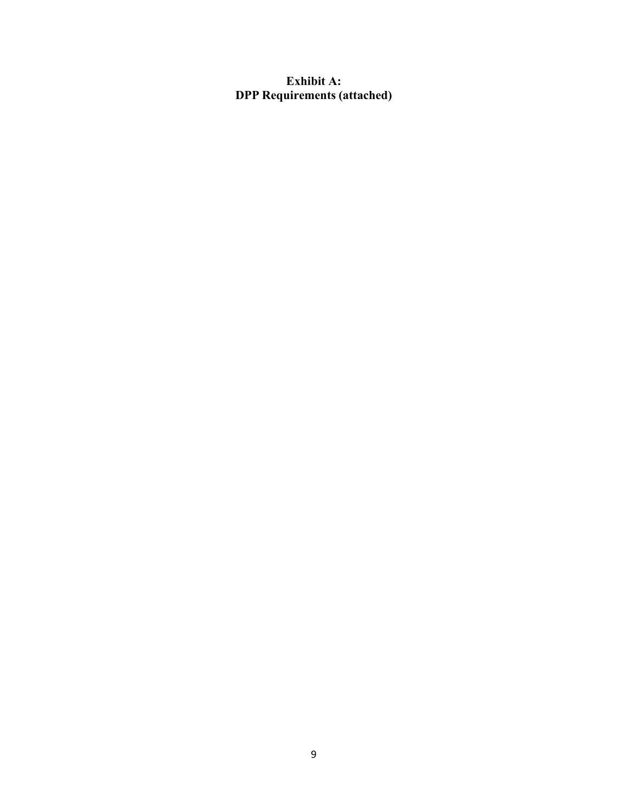# **Exhibit A: DPP Requirements (attached)**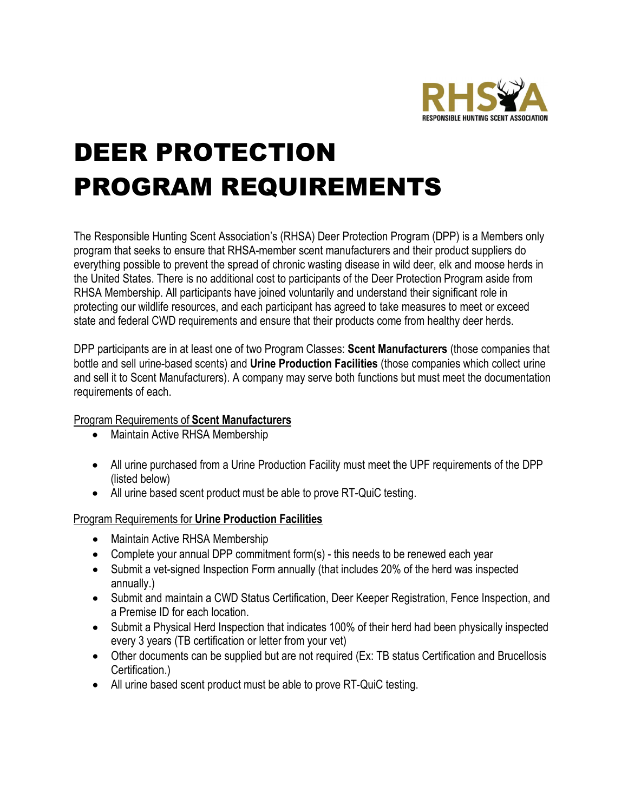

# DEER PROTECTION PROGRAM REQUIREMENTS

The Responsible Hunting Scent Association's (RHSA) Deer Protection Program (DPP) is a Members only program that seeks to ensure that RHSA-member scent manufacturers and their product suppliers do everything possible to prevent the spread of chronic wasting disease in wild deer, elk and moose herds in the United States. There is no additional cost to participants of the Deer Protection Program aside from RHSA Membership. All participants have joined voluntarily and understand their significant role in protecting our wildlife resources, and each participant has agreed to take measures to meet or exceed state and federal CWD requirements and ensure that their products come from healthy deer herds.

DPP participants are in at least one of two Program Classes: **Scent Manufacturers** (those companies that bottle and sell urine-based scents) and **Urine Production Facilities** (those companies which collect urine and sell it to Scent Manufacturers). A company may serve both functions but must meet the documentation requirements of each.

# Program Requirements of **Scent Manufacturers**

- Maintain Active RHSA Membership
- All urine purchased from a Urine Production Facility must meet the UPF requirements of the DPP (listed below)
- All urine based scent product must be able to prove RT-QuiC testing.

### Program Requirements for **Urine Production Facilities**

- Maintain Active RHSA Membership
- Complete your annual DPP commitment form(s) this needs to be renewed each year
- Submit a vet-signed Inspection Form annually (that includes 20% of the herd was inspected annually.)
- Submit and maintain a CWD Status Certification, Deer Keeper Registration, Fence Inspection, and a Premise ID for each location.
- Submit a Physical Herd Inspection that indicates 100% of their herd had been physically inspected every 3 years (TB certification or letter from your vet)
- Other documents can be supplied but are not required (Ex: TB status Certification and Brucellosis Certification.)
- All urine based scent product must be able to prove RT-QuiC testing.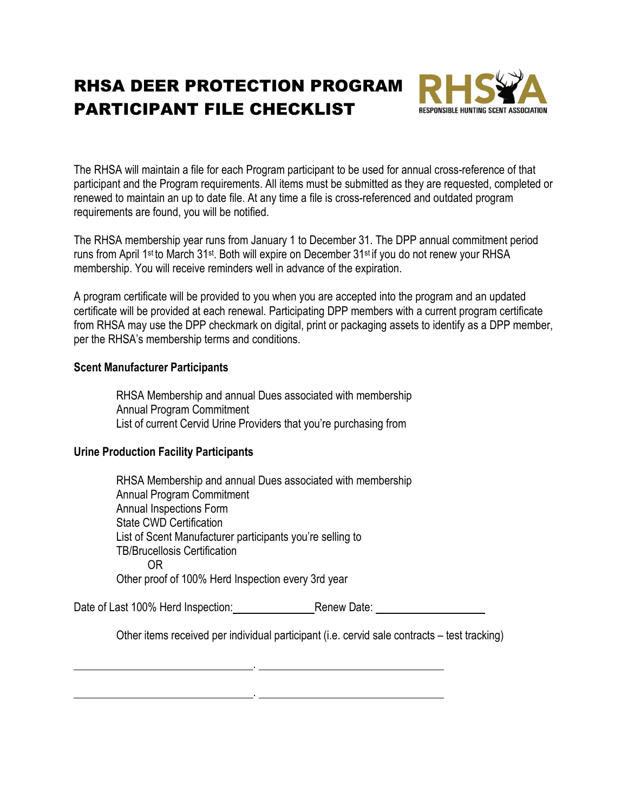# RHSA DEER PROTECTION PROGRAM PARTICIPANT FILE CHECKLIST



The RHSA will maintain a file for each Program participant to be used for annual cross-reference of that participant and the Program requirements. All items must be submitted as they are requested, completed or renewed to maintain an up to date file. At any time a file is cross-referenced and outdated program requirements are found, you will be notified.

The RHSA membership year runs from January 1 to December 31. The DPP annual commitment period runs from April 1st to March 31st. Both will expire on December 31st if you do not renew your RHSA membership. You will receive reminders well in advance of the expiration.

A program certificate will be provided to you when you are accepted into the program and an updated certificate will be provided at each renewal. Participating DPP members with a current program certificate from RHSA may use the DPP checkmark on digital, print or packaging assets to identify as a DPP member, per the RHSA's membership terms and conditions.

### **Scent Manufacturer Participants**

RHSA Membership and annual Dues associated with membership Annual Program Commitment List of current Cervid Urine Providers that you're purchasing from

# **Urine Production Facility Participants**

RHSA Membership and annual Dues associated with membership Annual Program Commitment Annual Inspections Form State CWD Certification List of Scent Manufacturer participants you're selling to TB/Brucellosis Certification OR Other proof of 100% Herd Inspection every 3rd year

Date of Last 100% Herd Inspection: Renew Date:

.

.

Other items received per individual participant (i.e. cervid sale contracts – test tracking)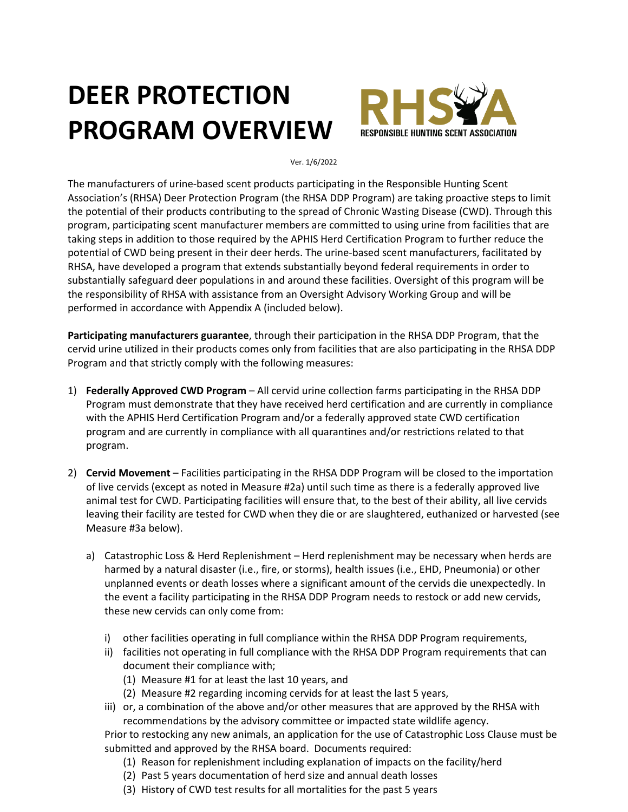# **DEER PROTECTION PROGRAM OVERVIEW**



Ver. 1/6/2022

The manufacturers of urine-based scent products participating in the Responsible Hunting Scent Association's (RHSA) Deer Protection Program (the RHSA DDP Program) are taking proactive steps to limit the potential of their products contributing to the spread of Chronic Wasting Disease (CWD). Through this program, participating scent manufacturer members are committed to using urine from facilities that are taking steps in addition to those required by the APHIS Herd Certification Program to further reduce the potential of CWD being present in their deer herds. The urine-based scent manufacturers, facilitated by RHSA, have developed a program that extends substantially beyond federal requirements in order to substantially safeguard deer populations in and around these facilities. Oversight of this program will be the responsibility of RHSA with assistance from an Oversight Advisory Working Group and will be performed in accordance with Appendix A (included below).

**Participating manufacturers guarantee**, through their participation in the RHSA DDP Program, that the cervid urine utilized in their products comes only from facilities that are also participating in the RHSA DDP Program and that strictly comply with the following measures:

- 1) **Federally Approved CWD Program**  All cervid urine collection farms participating in the RHSA DDP Program must demonstrate that they have received herd certification and are currently in compliance with the APHIS Herd Certification Program and/or a federally approved state CWD certification program and are currently in compliance with all quarantines and/or restrictions related to that program.
- 2) **Cervid Movement**  Facilities participating in the RHSA DDP Program will be closed to the importation of live cervids (except as noted in Measure #2a) until such time as there is a federally approved live animal test for CWD. Participating facilities will ensure that, to the best of their ability, all live cervids leaving their facility are tested for CWD when they die or are slaughtered, euthanized or harvested (see Measure #3a below).
	- a) Catastrophic Loss & Herd Replenishment Herd replenishment may be necessary when herds are harmed by a natural disaster (i.e., fire, or storms), health issues (i.e., EHD, Pneumonia) or other unplanned events or death losses where a significant amount of the cervids die unexpectedly. In the event a facility participating in the RHSA DDP Program needs to restock or add new cervids, these new cervids can only come from:
		- i) other facilities operating in full compliance within the RHSA DDP Program requirements,
		- ii) facilities not operating in full compliance with the RHSA DDP Program requirements that can document their compliance with;
			- (1) Measure #1 for at least the last 10 years, and
			- (2) Measure #2 regarding incoming cervids for at least the last 5 years,
		- iii) or, a combination of the above and/or other measures that are approved by the RHSA with recommendations by the advisory committee or impacted state wildlife agency.

Prior to restocking any new animals, an application for the use of Catastrophic Loss Clause must be submitted and approved by the RHSA board. Documents required:

- (1) Reason for replenishment including explanation of impacts on the facility/herd
- (2) Past 5 years documentation of herd size and annual death losses
- (3) History of CWD test results for all mortalities for the past 5 years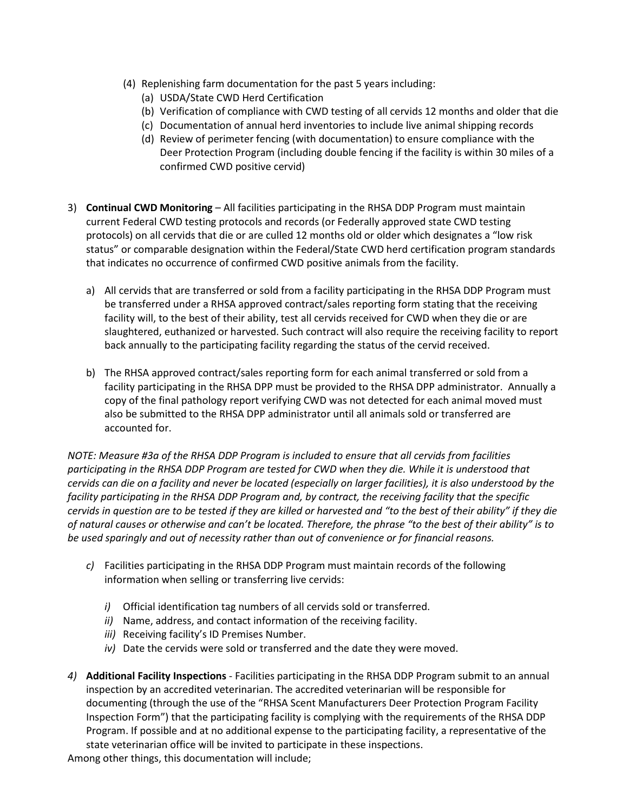- (4) Replenishing farm documentation for the past 5 years including:
	- (a) USDA/State CWD Herd Certification
	- (b) Verification of compliance with CWD testing of all cervids 12 months and older that die
	- (c) Documentation of annual herd inventories to include live animal shipping records
	- (d) Review of perimeter fencing (with documentation) to ensure compliance with the Deer Protection Program (including double fencing if the facility is within 30 miles of a confirmed CWD positive cervid)
- 3) **Continual CWD Monitoring**  All facilities participating in the RHSA DDP Program must maintain current Federal CWD testing protocols and records (or Federally approved state CWD testing protocols) on all cervids that die or are culled 12 months old or older which designates a "low risk status" or comparable designation within the Federal/State CWD herd certification program standards that indicates no occurrence of confirmed CWD positive animals from the facility.
	- a) All cervids that are transferred or sold from a facility participating in the RHSA DDP Program must be transferred under a RHSA approved contract/sales reporting form stating that the receiving facility will, to the best of their ability, test all cervids received for CWD when they die or are slaughtered, euthanized or harvested. Such contract will also require the receiving facility to report back annually to the participating facility regarding the status of the cervid received.
	- b) The RHSA approved contract/sales reporting form for each animal transferred or sold from a facility participating in the RHSA DPP must be provided to the RHSA DPP administrator. Annually a copy of the final pathology report verifying CWD was not detected for each animal moved must also be submitted to the RHSA DPP administrator until all animals sold or transferred are accounted for.

*NOTE: Measure #3a of the RHSA DDP Program is included to ensure that all cervids from facilities participating in the RHSA DDP Program are tested for CWD when they die. While it is understood that cervids can die on a facility and never be located (especially on larger facilities), it is also understood by the facility participating in the RHSA DDP Program and, by contract, the receiving facility that the specific cervids in question are to be tested if they are killed or harvested and "to the best of their ability" if they die of natural causes or otherwise and can't be located. Therefore, the phrase "to the best of their ability" is to be used sparingly and out of necessity rather than out of convenience or for financial reasons.*

- *c)* Facilities participating in the RHSA DDP Program must maintain records of the following information when selling or transferring live cervids:
	- *i)* Official identification tag numbers of all cervids sold or transferred.
	- *ii)* Name, address, and contact information of the receiving facility.
	- *iii)* Receiving facility's ID Premises Number.
	- *iv)* Date the cervids were sold or transferred and the date they were moved.
- *4)* **Additional Facility Inspections** Facilities participating in the RHSA DDP Program submit to an annual inspection by an accredited veterinarian. The accredited veterinarian will be responsible for documenting (through the use of the "RHSA Scent Manufacturers Deer Protection Program Facility Inspection Form") that the participating facility is complying with the requirements of the RHSA DDP Program. If possible and at no additional expense to the participating facility, a representative of the state veterinarian office will be invited to participate in these inspections.

Among other things, this documentation will include;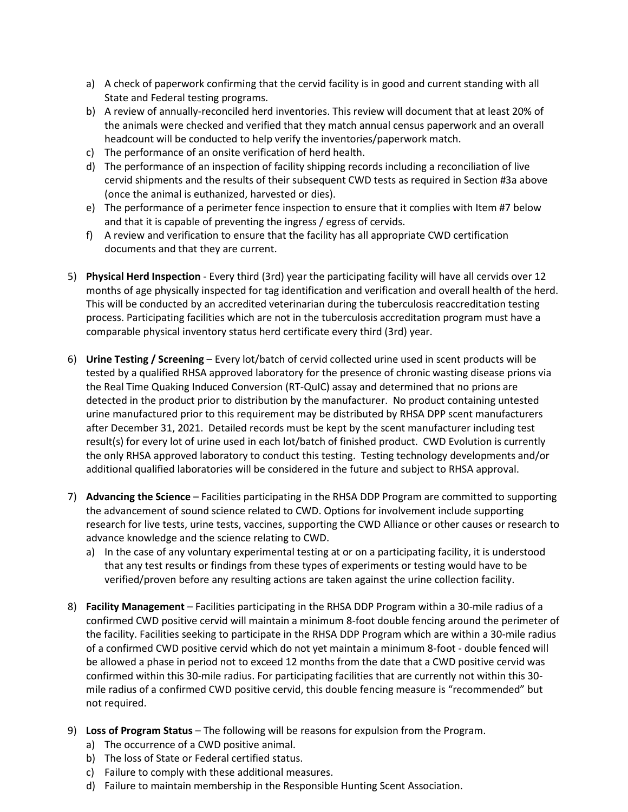- a) A check of paperwork confirming that the cervid facility is in good and current standing with all State and Federal testing programs.
- b) A review of annually-reconciled herd inventories. This review will document that at least 20% of the animals were checked and verified that they match annual census paperwork and an overall headcount will be conducted to help verify the inventories/paperwork match.
- c) The performance of an onsite verification of herd health.
- d) The performance of an inspection of facility shipping records including a reconciliation of live cervid shipments and the results of their subsequent CWD tests as required in Section #3a above (once the animal is euthanized, harvested or dies).
- e) The performance of a perimeter fence inspection to ensure that it complies with Item #7 below and that it is capable of preventing the ingress / egress of cervids.
- f) A review and verification to ensure that the facility has all appropriate CWD certification documents and that they are current.
- 5) **Physical Herd Inspection**  Every third (3rd) year the participating facility will have all cervids over 12 months of age physically inspected for tag identification and verification and overall health of the herd. This will be conducted by an accredited veterinarian during the tuberculosis reaccreditation testing process. Participating facilities which are not in the tuberculosis accreditation program must have a comparable physical inventory status herd certificate every third (3rd) year.
- 6) **Urine Testing / Screening** Every lot/batch of cervid collected urine used in scent products will be tested by a qualified RHSA approved laboratory for the presence of chronic wasting disease prions via the Real Time Quaking Induced Conversion (RT-QuIC) assay and determined that no prions are detected in the product prior to distribution by the manufacturer. No product containing untested urine manufactured prior to this requirement may be distributed by RHSA DPP scent manufacturers after December 31, 2021. Detailed records must be kept by the scent manufacturer including test result(s) for every lot of urine used in each lot/batch of finished product. CWD Evolution is currently the only RHSA approved laboratory to conduct this testing. Testing technology developments and/or additional qualified laboratories will be considered in the future and subject to RHSA approval.
- 7) **Advancing the Science**  Facilities participating in the RHSA DDP Program are committed to supporting the advancement of sound science related to CWD. Options for involvement include supporting research for live tests, urine tests, vaccines, supporting the CWD Alliance or other causes or research to advance knowledge and the science relating to CWD.
	- a) In the case of any voluntary experimental testing at or on a participating facility, it is understood that any test results or findings from these types of experiments or testing would have to be verified/proven before any resulting actions are taken against the urine collection facility.
- 8) **Facility Management**  Facilities participating in the RHSA DDP Program within a 30-mile radius of a confirmed CWD positive cervid will maintain a minimum 8-foot double fencing around the perimeter of the facility. Facilities seeking to participate in the RHSA DDP Program which are within a 30-mile radius of a confirmed CWD positive cervid which do not yet maintain a minimum 8-foot - double fenced will be allowed a phase in period not to exceed 12 months from the date that a CWD positive cervid was confirmed within this 30-mile radius. For participating facilities that are currently not within this 30 mile radius of a confirmed CWD positive cervid, this double fencing measure is "recommended" but not required.
- 9) **Loss of Program Status**  The following will be reasons for expulsion from the Program.
	- a) The occurrence of a CWD positive animal.
	- b) The loss of State or Federal certified status.
	- c) Failure to comply with these additional measures.
	- d) Failure to maintain membership in the Responsible Hunting Scent Association.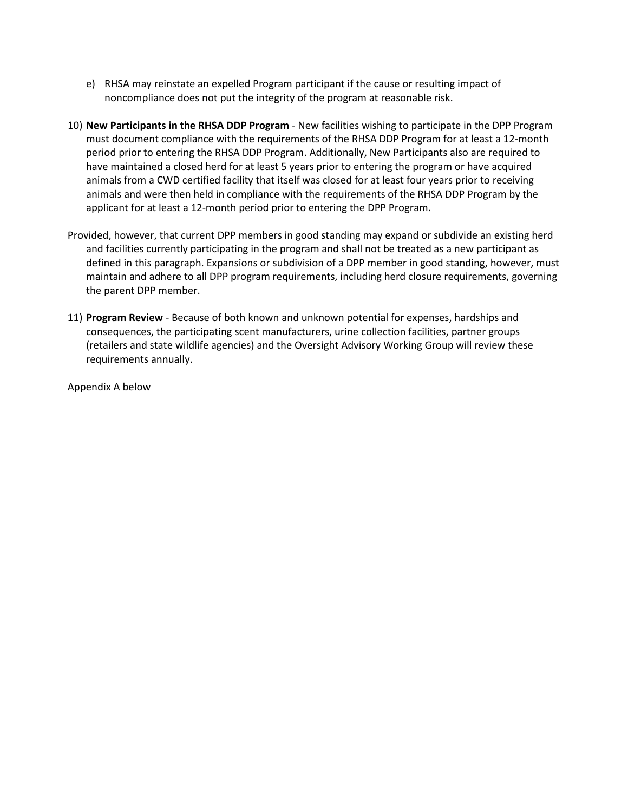- e) RHSA may reinstate an expelled Program participant if the cause or resulting impact of noncompliance does not put the integrity of the program at reasonable risk.
- 10) **New Participants in the RHSA DDP Program**  New facilities wishing to participate in the DPP Program must document compliance with the requirements of the RHSA DDP Program for at least a 12-month period prior to entering the RHSA DDP Program. Additionally, New Participants also are required to have maintained a closed herd for at least 5 years prior to entering the program or have acquired animals from a CWD certified facility that itself was closed for at least four years prior to receiving animals and were then held in compliance with the requirements of the RHSA DDP Program by the applicant for at least a 12-month period prior to entering the DPP Program.
- Provided, however, that current DPP members in good standing may expand or subdivide an existing herd and facilities currently participating in the program and shall not be treated as a new participant as defined in this paragraph. Expansions or subdivision of a DPP member in good standing, however, must maintain and adhere to all DPP program requirements, including herd closure requirements, governing the parent DPP member.
- 11) **Program Review**  Because of both known and unknown potential for expenses, hardships and consequences, the participating scent manufacturers, urine collection facilities, partner groups (retailers and state wildlife agencies) and the Oversight Advisory Working Group will review these requirements annually.

Appendix A below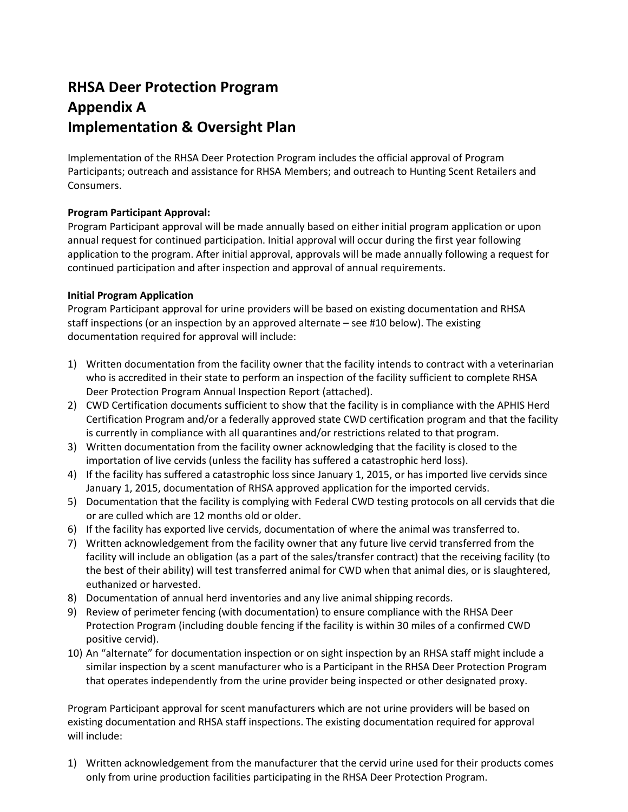# **RHSA Deer Protection Program Appendix A Implementation & Oversight Plan**

Implementation of the RHSA Deer Protection Program includes the official approval of Program Participants; outreach and assistance for RHSA Members; and outreach to Hunting Scent Retailers and Consumers.

### **Program Participant Approval:**

Program Participant approval will be made annually based on either initial program application or upon annual request for continued participation. Initial approval will occur during the first year following application to the program. After initial approval, approvals will be made annually following a request for continued participation and after inspection and approval of annual requirements.

### **Initial Program Application**

Program Participant approval for urine providers will be based on existing documentation and RHSA staff inspections (or an inspection by an approved alternate – see #10 below). The existing documentation required for approval will include:

- 1) Written documentation from the facility owner that the facility intends to contract with a veterinarian who is accredited in their state to perform an inspection of the facility sufficient to complete RHSA Deer Protection Program Annual Inspection Report (attached).
- 2) CWD Certification documents sufficient to show that the facility is in compliance with the APHIS Herd Certification Program and/or a federally approved state CWD certification program and that the facility is currently in compliance with all quarantines and/or restrictions related to that program.
- 3) Written documentation from the facility owner acknowledging that the facility is closed to the importation of live cervids (unless the facility has suffered a catastrophic herd loss).
- 4) If the facility has suffered a catastrophic loss since January 1, 2015, or has imported live cervids since January 1, 2015, documentation of RHSA approved application for the imported cervids.
- 5) Documentation that the facility is complying with Federal CWD testing protocols on all cervids that die or are culled which are 12 months old or older.
- 6) If the facility has exported live cervids, documentation of where the animal was transferred to.
- 7) Written acknowledgement from the facility owner that any future live cervid transferred from the facility will include an obligation (as a part of the sales/transfer contract) that the receiving facility (to the best of their ability) will test transferred animal for CWD when that animal dies, or is slaughtered, euthanized or harvested.
- 8) Documentation of annual herd inventories and any live animal shipping records.
- 9) Review of perimeter fencing (with documentation) to ensure compliance with the RHSA Deer Protection Program (including double fencing if the facility is within 30 miles of a confirmed CWD positive cervid).
- 10) An "alternate" for documentation inspection or on sight inspection by an RHSA staff might include a similar inspection by a scent manufacturer who is a Participant in the RHSA Deer Protection Program that operates independently from the urine provider being inspected or other designated proxy.

Program Participant approval for scent manufacturers which are not urine providers will be based on existing documentation and RHSA staff inspections. The existing documentation required for approval will include:

1) Written acknowledgement from the manufacturer that the cervid urine used for their products comes only from urine production facilities participating in the RHSA Deer Protection Program.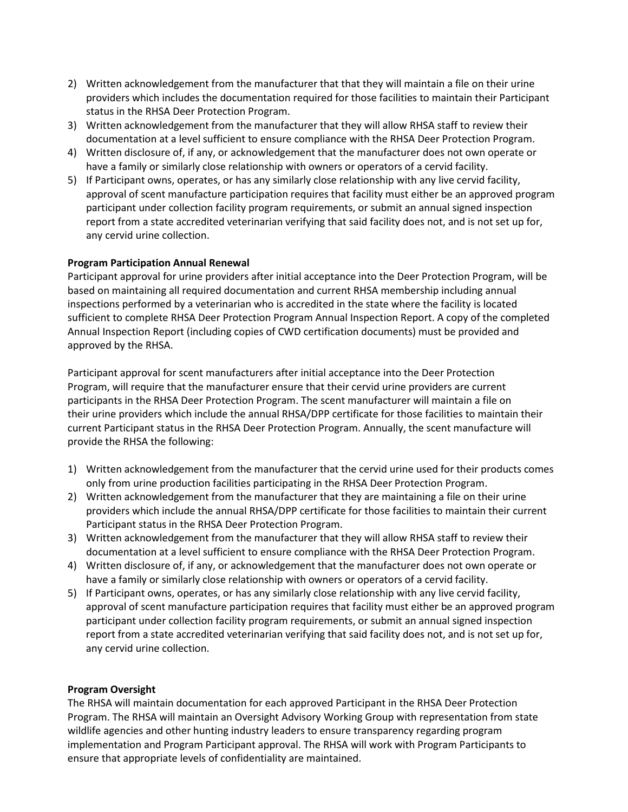- 2) Written acknowledgement from the manufacturer that that they will maintain a file on their urine providers which includes the documentation required for those facilities to maintain their Participant status in the RHSA Deer Protection Program.
- 3) Written acknowledgement from the manufacturer that they will allow RHSA staff to review their documentation at a level sufficient to ensure compliance with the RHSA Deer Protection Program.
- 4) Written disclosure of, if any, or acknowledgement that the manufacturer does not own operate or have a family or similarly close relationship with owners or operators of a cervid facility.
- 5) If Participant owns, operates, or has any similarly close relationship with any live cervid facility, approval of scent manufacture participation requires that facility must either be an approved program participant under collection facility program requirements, or submit an annual signed inspection report from a state accredited veterinarian verifying that said facility does not, and is not set up for, any cervid urine collection.

### **Program Participation Annual Renewal**

Participant approval for urine providers after initial acceptance into the Deer Protection Program, will be based on maintaining all required documentation and current RHSA membership including annual inspections performed by a veterinarian who is accredited in the state where the facility is located sufficient to complete RHSA Deer Protection Program Annual Inspection Report. A copy of the completed Annual Inspection Report (including copies of CWD certification documents) must be provided and approved by the RHSA.

Participant approval for scent manufacturers after initial acceptance into the Deer Protection Program, will require that the manufacturer ensure that their cervid urine providers are current participants in the RHSA Deer Protection Program. The scent manufacturer will maintain a file on their urine providers which include the annual RHSA/DPP certificate for those facilities to maintain their current Participant status in the RHSA Deer Protection Program. Annually, the scent manufacture will provide the RHSA the following:

- 1) Written acknowledgement from the manufacturer that the cervid urine used for their products comes only from urine production facilities participating in the RHSA Deer Protection Program.
- 2) Written acknowledgement from the manufacturer that they are maintaining a file on their urine providers which include the annual RHSA/DPP certificate for those facilities to maintain their current Participant status in the RHSA Deer Protection Program.
- 3) Written acknowledgement from the manufacturer that they will allow RHSA staff to review their documentation at a level sufficient to ensure compliance with the RHSA Deer Protection Program.
- 4) Written disclosure of, if any, or acknowledgement that the manufacturer does not own operate or have a family or similarly close relationship with owners or operators of a cervid facility.
- 5) If Participant owns, operates, or has any similarly close relationship with any live cervid facility, approval of scent manufacture participation requires that facility must either be an approved program participant under collection facility program requirements, or submit an annual signed inspection report from a state accredited veterinarian verifying that said facility does not, and is not set up for, any cervid urine collection.

#### **Program Oversight**

The RHSA will maintain documentation for each approved Participant in the RHSA Deer Protection Program. The RHSA will maintain an Oversight Advisory Working Group with representation from state wildlife agencies and other hunting industry leaders to ensure transparency regarding program implementation and Program Participant approval. The RHSA will work with Program Participants to ensure that appropriate levels of confidentiality are maintained.